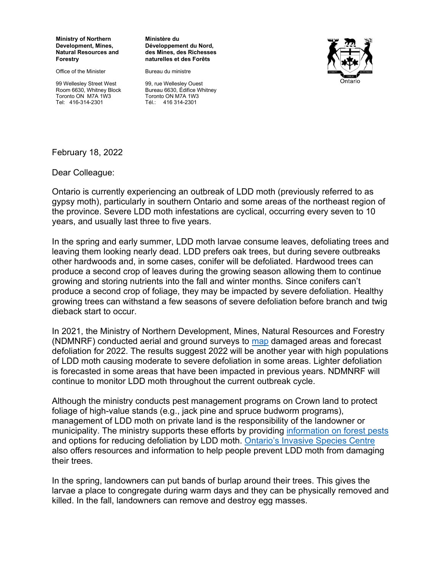**Ministry of Northern Development, Mines, Natural Resources and Forestry**

Office of the Minister

99 Wellesley Street West Room 6630, Whitney Block Toronto ON M7A 1W3 Tel: 416-314-2301

## **Ministère du Développement du Nord, des Mines, des Richesses naturelles et des Forêts**

Bureau du ministre



99, rue Wellesley Ouest Bureau 6630, Édifice Whitney Toronto ON M7A 1W3 Tél.: 416 314-2301

February 18, 2022

Dear Colleague:

Ontario is currently experiencing an outbreak of LDD moth (previously referred to as gypsy moth), particularly in southern Ontario and some areas of the northeast region of the province. Severe LDD moth infestations are cyclical, occurring every seven to 10 years, and usually last three to five years.

In the spring and early summer, LDD moth larvae consume leaves, defoliating trees and leaving them looking nearly dead. LDD prefers oak trees, but during severe outbreaks other hardwoods and, in some cases, conifer will be defoliated. Hardwood trees can produce a second crop of leaves during the growing season allowing them to continue growing and storing nutrients into the fall and winter months. Since conifers can't produce a second crop of foliage, they may be impacted by severe defoliation. Healthy growing trees can withstand a few seasons of severe defoliation before branch and twig dieback start to occur.

In 2021, the Ministry of Northern Development, Mines, Natural Resources and Forestry (NDMNRF) conducted aerial and ground surveys to [map](https://www.ontario.ca/page/lymantria-dispar-dispar-ldd-moth#map) damaged areas and forecast defoliation for 2022. The results suggest 2022 will be another year with high populations of LDD moth causing moderate to severe defoliation in some areas. Lighter defoliation is forecasted in some areas that have been impacted in previous years. NDMNRF will continue to monitor LDD moth throughout the current outbreak cycle.

Although the ministry conducts pest management programs on Crown land to protect foliage of high-value stands (e.g., jack pine and spruce budworm programs), management of LDD moth on private land is the responsibility of the landowner or municipality. The ministry supports these efforts by providing [information on forest pests](https://www.ontario.ca/page/lymantria-dispar-dispar-ldd-moth-and-other-defoliators) and options for reducing defoliation by LDD moth. [Ontario's Invasive Species Centre](https://www.invasivespeciescentre.ca/wp-content/uploads/2020/08/european-gypsy-moth-fact-sheet.pdf)  also offers resources and information to help people prevent LDD moth from damaging their trees.

In the spring, landowners can put bands of burlap around their trees. This gives the larvae a place to congregate during warm days and they can be physically removed and killed. In the fall, landowners can remove and destroy egg masses.